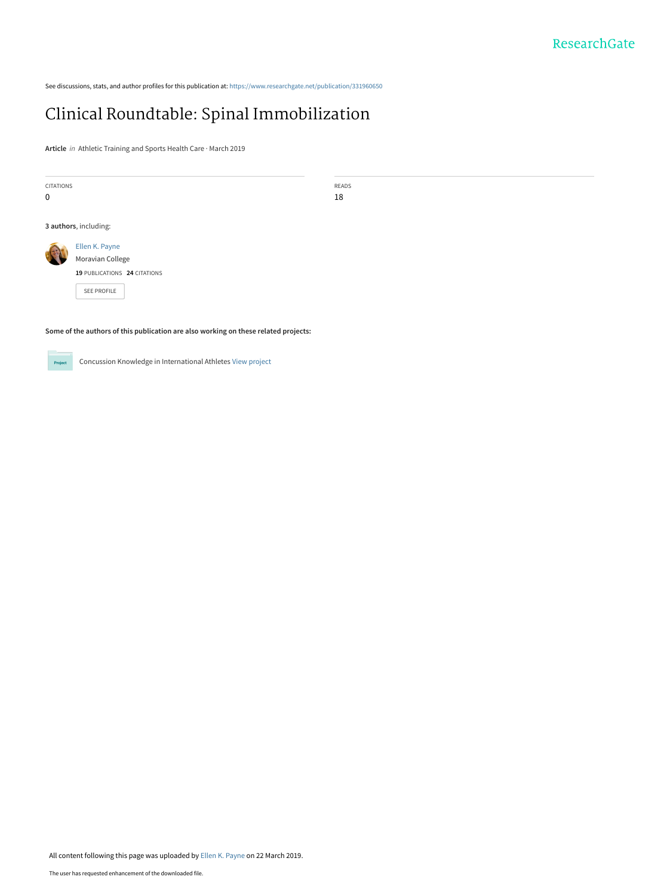See discussions, stats, and author profiles for this publication at: [https://www.researchgate.net/publication/331960650](https://www.researchgate.net/publication/331960650_Clinical_Roundtable_Spinal_Immobilization?enrichId=rgreq-060590db149677b23cbcf5e117e56859-XXX&enrichSource=Y292ZXJQYWdlOzMzMTk2MDY1MDtBUzo3MzkyNzYwNjkyOTgxNzZAMTU1MzI2ODU1ODEwOQ%3D%3D&el=1_x_2&_esc=publicationCoverPdf)

## [Clinical Roundtable: Spinal Immobilization](https://www.researchgate.net/publication/331960650_Clinical_Roundtable_Spinal_Immobilization?enrichId=rgreq-060590db149677b23cbcf5e117e56859-XXX&enrichSource=Y292ZXJQYWdlOzMzMTk2MDY1MDtBUzo3MzkyNzYwNjkyOTgxNzZAMTU1MzI2ODU1ODEwOQ%3D%3D&el=1_x_3&_esc=publicationCoverPdf)

**Article** in Athletic Training and Sports Health Care · March 2019

| <b>CITATIONS</b> |                              | READS |
|------------------|------------------------------|-------|
| $\mathbf 0$      |                              | 18    |
|                  |                              |       |
|                  | 3 authors, including:        |       |
|                  | Ellen K. Payne               |       |
|                  | Moravian College             |       |
|                  | 19 PUBLICATIONS 24 CITATIONS |       |
|                  | <b>SEE PROFILE</b>           |       |

**Some of the authors of this publication are also working on these related projects:**



Concussion Knowledge in International Athletes [View project](https://www.researchgate.net/project/Concussion-Knowledge-in-International-Athletes?enrichId=rgreq-060590db149677b23cbcf5e117e56859-XXX&enrichSource=Y292ZXJQYWdlOzMzMTk2MDY1MDtBUzo3MzkyNzYwNjkyOTgxNzZAMTU1MzI2ODU1ODEwOQ%3D%3D&el=1_x_9&_esc=publicationCoverPdf)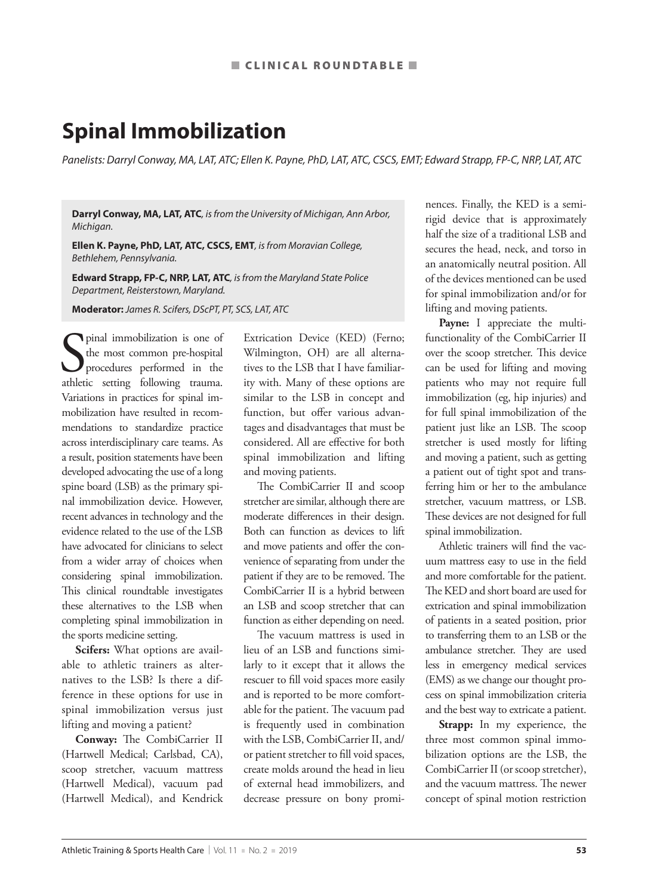## **Spinal Immobilization**

*Panelists: Darryl Conway, MA, LAT, ATC; Ellen K. Payne, PhD, LAT, ATC, CSCS, EMT; Edward Strapp, FP-C, NRP, LAT, ATC*

**Darryl Conway, MA, LAT, ATC***, is from the University of Michigan, Ann Arbor, Michigan.*

**Ellen K. Payne, PhD, LAT, ATC, CSCS, EMT***, is from Moravian College, Bethlehem, Pennsylvania.*

**Edward Strapp, FP-C, NRP, LAT, ATC***, is from the Maryland State Police Department, Reisterstown, Maryland.*

**Moderator:** *James R. Scifers, DScPT, PT, SCS, LAT, ATC*

Spinal immobilization is one of<br>the most common pre-hospital<br>athletic setting following trauma. pinal immobilization is one of the most common pre-hospital procedures performed in the Variations in practices for spinal immobilization have resulted in recommendations to standardize practice across interdisciplinary care teams. As a result, position statements have been developed advocating the use of a long spine board (LSB) as the primary spinal immobilization device. However, recent advances in technology and the evidence related to the use of the LSB have advocated for clinicians to select from a wider array of choices when considering spinal immobilization. This clinical roundtable investigates these alternatives to the LSB when completing spinal immobilization in the sports medicine setting.

**Scifers:** What options are available to athletic trainers as alternatives to the LSB? Is there a difference in these options for use in spinal immobilization versus just lifting and moving a patient?

**Conway:** The CombiCarrier II (Hartwell Medical; Carlsbad, CA), scoop stretcher, vacuum mattress (Hartwell Medical), vacuum pad (Hartwell Medical), and Kendrick Extrication Device (KED) (Ferno; Wilmington, OH) are all alternatives to the LSB that I have familiarity with. Many of these options are similar to the LSB in concept and function, but offer various advantages and disadvantages that must be considered. All are effective for both spinal immobilization and lifting and moving patients.

The CombiCarrier II and scoop stretcher are similar, although there are moderate differences in their design. Both can function as devices to lift and move patients and offer the convenience of separating from under the patient if they are to be removed. The CombiCarrier II is a hybrid between an LSB and scoop stretcher that can function as either depending on need.

The vacuum mattress is used in lieu of an LSB and functions similarly to it except that it allows the rescuer to fill void spaces more easily and is reported to be more comfortable for the patient. The vacuum pad is frequently used in combination with the LSB, CombiCarrier II, and/ or patient stretcher to fill void spaces, create molds around the head in lieu of external head immobilizers, and decrease pressure on bony prominences. Finally, the KED is a semirigid device that is approximately half the size of a traditional LSB and secures the head, neck, and torso in an anatomically neutral position. All of the devices mentioned can be used for spinal immobilization and/or for lifting and moving patients.

**Payne:** I appreciate the multifunctionality of the CombiCarrier II over the scoop stretcher. This device can be used for lifting and moving patients who may not require full immobilization (eg, hip injuries) and for full spinal immobilization of the patient just like an LSB. The scoop stretcher is used mostly for lifting and moving a patient, such as getting a patient out of tight spot and transferring him or her to the ambulance stretcher, vacuum mattress, or LSB. These devices are not designed for full spinal immobilization.

Athletic trainers will find the vacuum mattress easy to use in the field and more comfortable for the patient. The KED and short board are used for extrication and spinal immobilization of patients in a seated position, prior to transferring them to an LSB or the ambulance stretcher. They are used less in emergency medical services (EMS) as we change our thought process on spinal immobilization criteria and the best way to extricate a patient.

**Strapp:** In my experience, the three most common spinal immobilization options are the LSB, the CombiCarrier II (or scoop stretcher), and the vacuum mattress. The newer concept of spinal motion restriction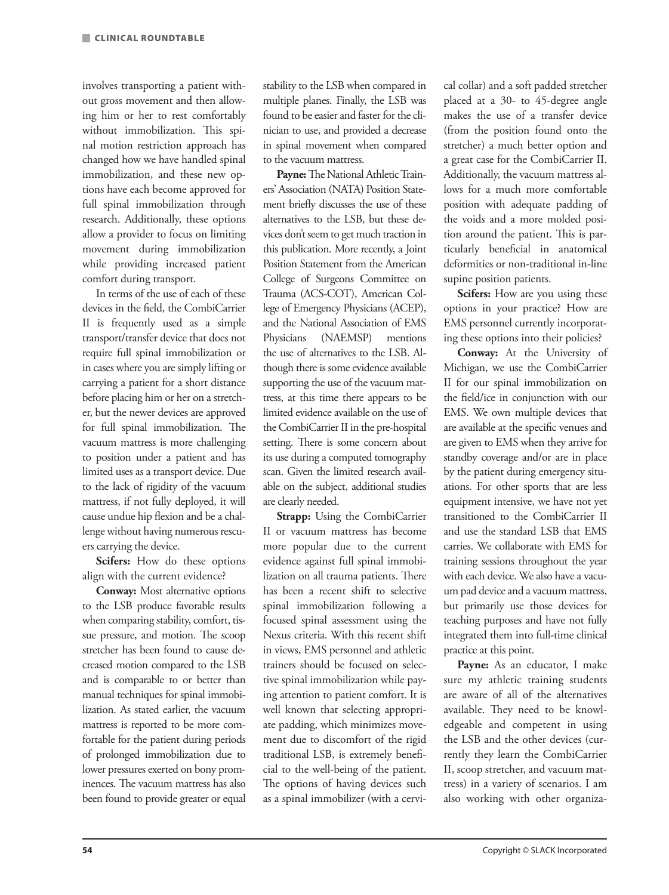involves transporting a patient without gross movement and then allowing him or her to rest comfortably without immobilization. This spinal motion restriction approach has changed how we have handled spinal immobilization, and these new options have each become approved for full spinal immobilization through research. Additionally, these options allow a provider to focus on limiting movement during immobilization while providing increased patient comfort during transport.

In terms of the use of each of these devices in the field, the CombiCarrier II is frequently used as a simple transport/transfer device that does not require full spinal immobilization or in cases where you are simply lifting or carrying a patient for a short distance before placing him or her on a stretcher, but the newer devices are approved for full spinal immobilization. The vacuum mattress is more challenging to position under a patient and has limited uses as a transport device. Due to the lack of rigidity of the vacuum mattress, if not fully deployed, it will cause undue hip flexion and be a challenge without having numerous rescuers carrying the device.

**Scifers:** How do these options align with the current evidence?

**Conway:** Most alternative options to the LSB produce favorable results when comparing stability, comfort, tissue pressure, and motion. The scoop stretcher has been found to cause decreased motion compared to the LSB and is comparable to or better than manual techniques for spinal immobilization. As stated earlier, the vacuum mattress is reported to be more comfortable for the patient during periods of prolonged immobilization due to lower pressures exerted on bony prominences. The vacuum mattress has also been found to provide greater or equal stability to the LSB when compared in multiple planes. Finally, the LSB was found to be easier and faster for the clinician to use, and provided a decrease in spinal movement when compared to the vacuum mattress.

**Payne:** The National Athletic Trainers' Association (NATA) Position Statement briefly discusses the use of these alternatives to the LSB, but these devices don't seem to get much traction in this publication. More recently, a Joint Position Statement from the American College of Surgeons Committee on Trauma (ACS-COT), American College of Emergency Physicians (ACEP), and the National Association of EMS Physicians (NAEMSP) mentions the use of alternatives to the LSB. Although there is some evidence available supporting the use of the vacuum mattress, at this time there appears to be limited evidence available on the use of the CombiCarrier II in the pre-hospital setting. There is some concern about its use during a computed tomography scan. Given the limited research available on the subject, additional studies are clearly needed.

**Strapp:** Using the CombiCarrier II or vacuum mattress has become more popular due to the current evidence against full spinal immobilization on all trauma patients. There has been a recent shift to selective spinal immobilization following a focused spinal assessment using the Nexus criteria. With this recent shift in views, EMS personnel and athletic trainers should be focused on selective spinal immobilization while paying attention to patient comfort. It is well known that selecting appropriate padding, which minimizes movement due to discomfort of the rigid traditional LSB, is extremely beneficial to the well-being of the patient. The options of having devices such as a spinal immobilizer (with a cervical collar) and a soft padded stretcher placed at a 30- to 45-degree angle makes the use of a transfer device (from the position found onto the stretcher) a much better option and a great case for the CombiCarrier II. Additionally, the vacuum mattress allows for a much more comfortable position with adequate padding of the voids and a more molded position around the patient. This is particularly beneficial in anatomical deformities or non-traditional in-line supine position patients.

**Scifers:** How are you using these options in your practice? How are EMS personnel currently incorporating these options into their policies?

**Conway:** At the University of Michigan, we use the CombiCarrier II for our spinal immobilization on the field/ice in conjunction with our EMS. We own multiple devices that are available at the specific venues and are given to EMS when they arrive for standby coverage and/or are in place by the patient during emergency situations. For other sports that are less equipment intensive, we have not yet transitioned to the CombiCarrier II and use the standard LSB that EMS carries. We collaborate with EMS for training sessions throughout the year with each device. We also have a vacuum pad device and a vacuum mattress, but primarily use those devices for teaching purposes and have not fully integrated them into full-time clinical practice at this point.

**Payne:** As an educator, I make sure my athletic training students are aware of all of the alternatives available. They need to be knowledgeable and competent in using the LSB and the other devices (currently they learn the CombiCarrier II, scoop stretcher, and vacuum mattress) in a variety of scenarios. I am also working with other organiza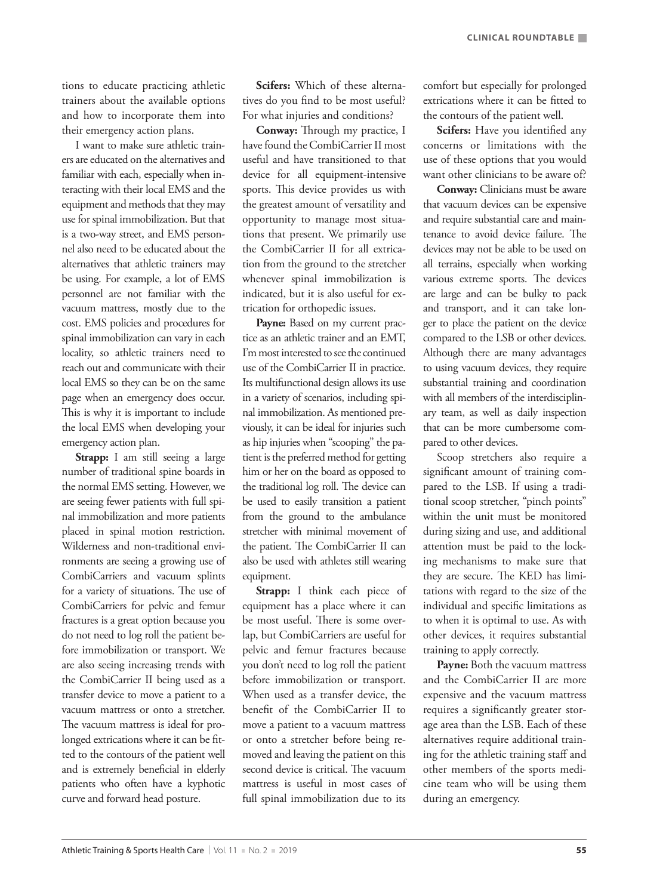tions to educate practicing athletic trainers about the available options and how to incorporate them into their emergency action plans.

I want to make sure athletic trainers are educated on the alternatives and familiar with each, especially when interacting with their local EMS and the equipment and methods that they may use for spinal immobilization. But that is a two-way street, and EMS personnel also need to be educated about the alternatives that athletic trainers may be using. For example, a lot of EMS personnel are not familiar with the vacuum mattress, mostly due to the cost. EMS policies and procedures for spinal immobilization can vary in each locality, so athletic trainers need to reach out and communicate with their local EMS so they can be on the same page when an emergency does occur. This is why it is important to include the local EMS when developing your emergency action plan.

**Strapp:** I am still seeing a large number of traditional spine boards in the normal EMS setting. However, we are seeing fewer patients with full spinal immobilization and more patients placed in spinal motion restriction. Wilderness and non-traditional environments are seeing a growing use of CombiCarriers and vacuum splints for a variety of situations. The use of CombiCarriers for pelvic and femur fractures is a great option because you do not need to log roll the patient before immobilization or transport. We are also seeing increasing trends with the CombiCarrier II being used as a transfer device to move a patient to a vacuum mattress or onto a stretcher. The vacuum mattress is ideal for prolonged extrications where it can be fitted to the contours of the patient well and is extremely beneficial in elderly patients who often have a kyphotic curve and forward head posture.

**Scifers:** Which of these alternatives do you find to be most useful? For what injuries and conditions?

**Conway:** Through my practice, I have found the CombiCarrier II most useful and have transitioned to that device for all equipment-intensive sports. This device provides us with the greatest amount of versatility and opportunity to manage most situations that present. We primarily use the CombiCarrier II for all extrication from the ground to the stretcher whenever spinal immobilization is indicated, but it is also useful for extrication for orthopedic issues.

Payne: Based on my current practice as an athletic trainer and an EMT, I'm most interested to see the continued use of the CombiCarrier II in practice. Its multifunctional design allows its use in a variety of scenarios, including spinal immobilization. As mentioned previously, it can be ideal for injuries such as hip injuries when "scooping" the patient is the preferred method for getting him or her on the board as opposed to the traditional log roll. The device can be used to easily transition a patient from the ground to the ambulance stretcher with minimal movement of the patient. The CombiCarrier II can also be used with athletes still wearing equipment.

**Strapp:** I think each piece of equipment has a place where it can be most useful. There is some overlap, but CombiCarriers are useful for pelvic and femur fractures because you don't need to log roll the patient before immobilization or transport. When used as a transfer device, the benefit of the CombiCarrier II to move a patient to a vacuum mattress or onto a stretcher before being removed and leaving the patient on this second device is critical. The vacuum mattress is useful in most cases of full spinal immobilization due to its

comfort but especially for prolonged extrications where it can be fitted to the contours of the patient well.

**Scifers:** Have you identified any concerns or limitations with the use of these options that you would want other clinicians to be aware of?

**Conway:** Clinicians must be aware that vacuum devices can be expensive and require substantial care and maintenance to avoid device failure. The devices may not be able to be used on all terrains, especially when working various extreme sports. The devices are large and can be bulky to pack and transport, and it can take longer to place the patient on the device compared to the LSB or other devices. Although there are many advantages to using vacuum devices, they require substantial training and coordination with all members of the interdisciplinary team, as well as daily inspection that can be more cumbersome compared to other devices.

Scoop stretchers also require a significant amount of training compared to the LSB. If using a traditional scoop stretcher, "pinch points" within the unit must be monitored during sizing and use, and additional attention must be paid to the locking mechanisms to make sure that they are secure. The KED has limitations with regard to the size of the individual and specific limitations as to when it is optimal to use. As with other devices, it requires substantial training to apply correctly.

Payne: Both the vacuum mattress and the CombiCarrier II are more expensive and the vacuum mattress requires a significantly greater storage area than the LSB. Each of these alternatives require additional training for the athletic training staff and other members of the sports medicine team who will be using them during an emergency.